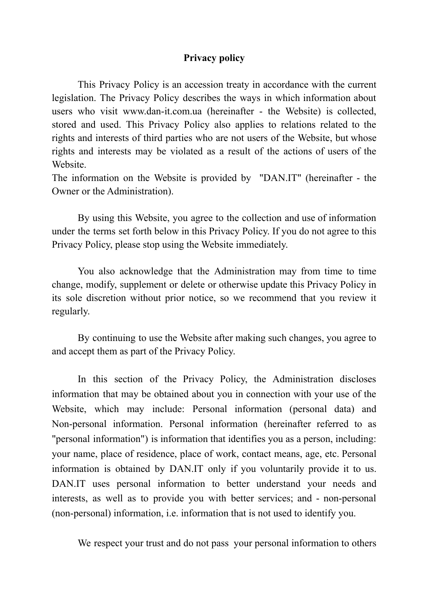## **Privacy policy**

This Privacy Policy is an accession treaty in accordance with the current legislation. The Privacy Policy describes the ways in which information about users who visit www.dan-it.com.ua (hereinafter - the Website) is collected, stored and used. This Privacy Policy also applies to relations related to the rights and interests of third parties who are not users of the Website, but whose rights and interests may be violated as a result of the actions of users of the Website.

The information on the Website is provided by "DAN.IT" (hereinafter - the Owner or the Administration).

By using this Website, you agree to the collection and use of information under the terms set forth below in this Privacy Policy. If you do not agree to this Privacy Policy, please stop using the Website immediately.

You also acknowledge that the Administration may from time to time change, modify, supplement or delete or otherwise update this Privacy Policy in its sole discretion without prior notice, so we recommend that you review it regularly.

By continuing to use the Website after making such changes, you agree to and accept them as part of the Privacy Policy.

In this section of the Privacy Policy, the Administration discloses information that may be obtained about you in connection with your use of the Website, which may include: Personal information (personal data) and Non-personal information. Personal information (hereinafter referred to as "personal information") is information that identifies you as a person, including: your name, place of residence, place of work, contact means, age, etc. Personal information is obtained by DAN.IT only if you voluntarily provide it to us. DAN.IT uses personal information to better understand your needs and interests, as well as to provide you with better services; and - non-personal (non-personal) information, i.e. information that is not used to identify you.

We respect your trust and do not pass your personal information to others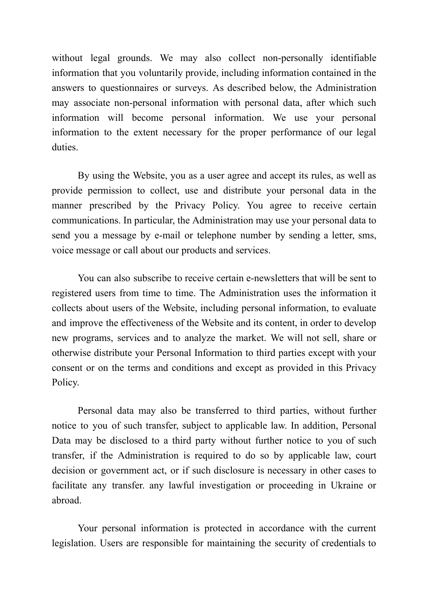without legal grounds. We may also collect non-personally identifiable information that you voluntarily provide, including information contained in the answers to questionnaires or surveys. As described below, the Administration may associate non-personal information with personal data, after which such information will become personal information. We use your personal information to the extent necessary for the proper performance of our legal duties.

By using the Website, you as a user agree and accept its rules, as well as provide permission to collect, use and distribute your personal data in the manner prescribed by the Privacy Policy. You agree to receive certain communications. In particular, the Administration may use your personal data to send you a message by e-mail or telephone number by sending a letter, sms, voice message or call about our products and services.

You can also subscribe to receive certain e-newsletters that will be sent to registered users from time to time. The Administration uses the information it collects about users of the Website, including personal information, to evaluate and improve the effectiveness of the Website and its content, in order to develop new programs, services and to analyze the market. We will not sell, share or otherwise distribute your Personal Information to third parties except with your consent or on the terms and conditions and except as provided in this Privacy Policy.

Personal data may also be transferred to third parties, without further notice to you of such transfer, subject to applicable law. In addition, Personal Data may be disclosed to a third party without further notice to you of such transfer, if the Administration is required to do so by applicable law, court decision or government act, or if such disclosure is necessary in other cases to facilitate any transfer. any lawful investigation or proceeding in Ukraine or abroad.

Your personal information is protected in accordance with the current legislation. Users are responsible for maintaining the security of credentials to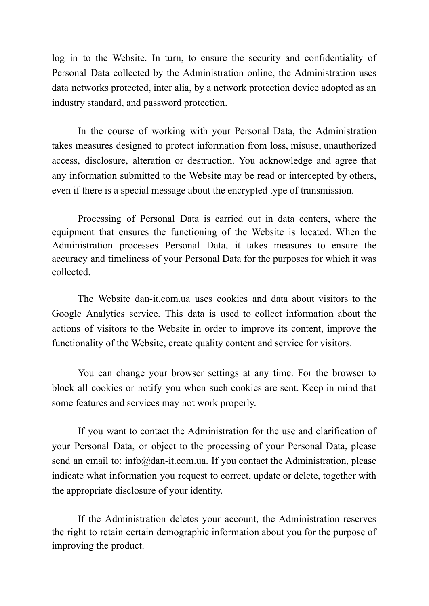log in to the Website. In turn, to ensure the security and confidentiality of Personal Data collected by the Administration online, the Administration uses data networks protected, inter alia, by a network protection device adopted as an industry standard, and password protection.

In the course of working with your Personal Data, the Administration takes measures designed to protect information from loss, misuse, unauthorized access, disclosure, alteration or destruction. You acknowledge and agree that any information submitted to the Website may be read or intercepted by others, even if there is a special message about the encrypted type of transmission.

Processing of Personal Data is carried out in data centers, where the equipment that ensures the functioning of the Website is located. When the Administration processes Personal Data, it takes measures to ensure the accuracy and timeliness of your Personal Data for the purposes for which it was collected.

The Website dan-it.com.ua uses cookies and data about visitors to the Google Analytics service. This data is used to collect information about the actions of visitors to the Website in order to improve its content, improve the functionality of the Website, create quality content and service for visitors.

You can change your browser settings at any time. For the browser to block all cookies or notify you when such cookies are sent. Keep in mind that some features and services may not work properly.

If you want to contact the Administration for the use and clarification of your Personal Data, or object to the processing of your Personal Data, please send an email to: info@dan-it.com.ua. If you contact the Administration, please indicate what information you request to correct, update or delete, together with the appropriate disclosure of your identity.

If the Administration deletes your account, the Administration reserves the right to retain certain demographic information about you for the purpose of improving the product.